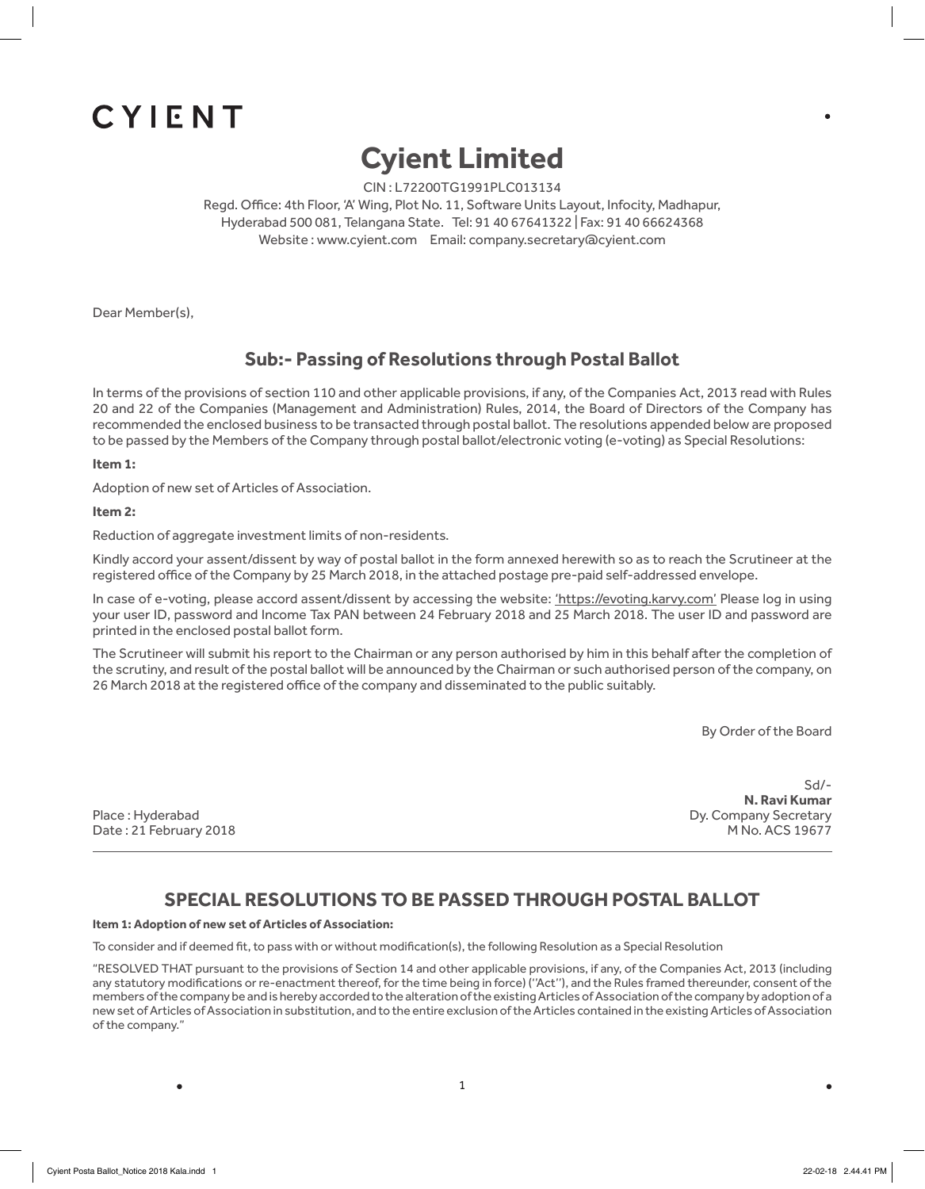# CYIENT

## **Cyient Limited**

CIN : L72200TG1991PLC013134

Regd. Office: 4th Floor, 'A' Wing, Plot No. 11, Software Units Layout, Infocity, Madhapur, Hyderabad 500 081, Telangana State. Tel: 91 40 67641322 | Fax: 91 40 66624368 Website : www.cyient.com Email: company.secretary@cyient.com

Dear Member(s),

## **Sub:- Passing of Resolutions through Postal Ballot**

In terms of the provisions of section 110 and other applicable provisions, if any, of the Companies Act, 2013 read with Rules 20 and 22 of the Companies (Management and Administration) Rules, 2014, the Board of Directors of the Company has recommended the enclosed business to be transacted through postal ballot. The resolutions appended below are proposed to be passed by the Members of the Company through postal ballot/electronic voting (e-voting) as Special Resolutions:

**Item 1:** 

Adoption of new set of Articles of Association.

**Item 2:**

Reduction of aggregate investment limits of non-residents.

Kindly accord your assent/dissent by way of postal ballot in the form annexed herewith so as to reach the Scrutineer at the registered office of the Company by 25 March 2018, in the attached postage pre-paid self-addressed envelope.

In case of e-voting, please accord assent/dissent by accessing the website: 'https://evoting.karvy.com' Please log in using your user ID, password and Income Tax PAN between 24 February 2018 and 25 March 2018. The user ID and password are printed in the enclosed postal ballot form.

The Scrutineer will submit his report to the Chairman or any person authorised by him in this behalf after the completion of the scrutiny, and result of the postal ballot will be announced by the Chairman or such authorised person of the company, on 26 March 2018 at the registered office of the company and disseminated to the public suitably.

By Order of the Board

Date : 21 February 2018 **M** No. ACS 19677

Sd/- **N. Ravi Kumar** Place : Hyderabad Dy. Company Secretary

## **SPECIAL RESOLUTIONS TO BE PASSED THROUGH POSTAL BALLOT**

**Item 1: Adoption of new set of Articles of Association:**

To consider and if deemed fit, to pass with or without modification(s), the following Resolution as a Special Resolution

"RESOLVED THAT pursuant to the provisions of Section 14 and other applicable provisions, if any, of the Companies Act, 2013 (including any statutory modifications or re-enactment thereof, for the time being in force) ("Act"), and the Rules framed thereunder, consent of the members of the company be and is hereby accorded to the alteration of the existing Articles of Association of the company by adoption of a new set of Articles of Association in substitution, and to the entire exclusion of the Articles contained in the existing Articles of Association of the company."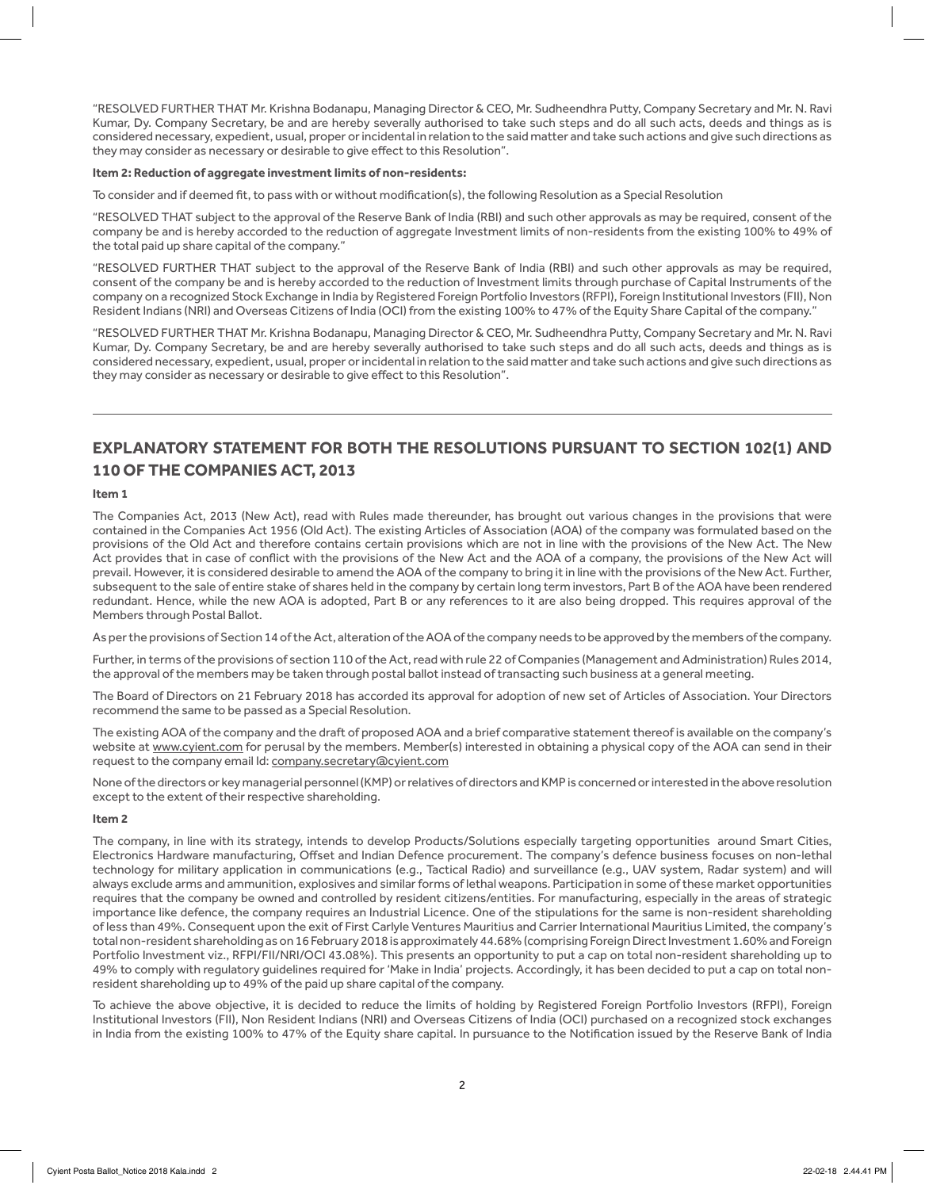"RESOLVED FURTHER THAT Mr. Krishna Bodanapu, Managing Director & CEO, Mr. Sudheendhra Putty, Company Secretary and Mr. N. Ravi Kumar, Dy. Company Secretary, be and are hereby severally authorised to take such steps and do all such acts, deeds and things as is considered necessary, expedient, usual, proper or incidental in relation to the said matter and take such actions and give such directions as they may consider as necessary or desirable to give effect to this Resolution".

#### **Item 2: Reduction of aggregate investment limits of non-residents:**

To consider and if deemed fit, to pass with or without modification(s), the following Resolution as a Special Resolution

"RESOLVED THAT subject to the approval of the Reserve Bank of India (RBI) and such other approvals as may be required, consent of the company be and is hereby accorded to the reduction of aggregate Investment limits of non-residents from the existing 100% to 49% of the total paid up share capital of the company."

"RESOLVED FURTHER THAT subject to the approval of the Reserve Bank of India (RBI) and such other approvals as may be required, consent of the company be and is hereby accorded to the reduction of Investment limits through purchase of Capital Instruments of the company on a recognized Stock Exchange in India by Registered Foreign Portfolio Investors (RFPI), Foreign Institutional Investors (FII), Non Resident Indians (NRI) and Overseas Citizens of India (OCI) from the existing 100% to 47% of the Equity Share Capital of the company."

"RESOLVED FURTHER THAT Mr. Krishna Bodanapu, Managing Director & CEO, Mr. Sudheendhra Putty, Company Secretary and Mr. N. Ravi Kumar, Dy. Company Secretary, be and are hereby severally authorised to take such steps and do all such acts, deeds and things as is considered necessary, expedient, usual, proper or incidental in relation to the said matter and take such actions and give such directions as they may consider as necessary or desirable to give effect to this Resolution".

## **EXPLANATORY STATEMENT FOR BOTH THE RESOLUTIONS PURSUANT TO SECTION 102(1) AND 110 OF THE COMPANIES ACT, 2013**

#### **Item 1**

The Companies Act, 2013 (New Act), read with Rules made thereunder, has brought out various changes in the provisions that were contained in the Companies Act 1956 (Old Act). The existing Articles of Association (AOA) of the company was formulated based on the provisions of the Old Act and therefore contains certain provisions which are not in line with the provisions of the New Act. The New Act provides that in case of conflict with the provisions of the New Act and the AOA of a company, the provisions of the New Act will prevail. However, it is considered desirable to amend the AOA of the company to bring it in line with the provisions of the New Act. Further, subsequent to the sale of entire stake of shares held in the company by certain long term investors, Part B of the AOA have been rendered redundant. Hence, while the new AOA is adopted, Part B or any references to it are also being dropped. This requires approval of the Members through Postal Ballot.

As per the provisions of Section 14 of the Act, alteration of the AOA of the company needs to be approved by the members of the company.

Further, in terms of the provisions of section 110 of the Act, read with rule 22 of Companies (Management and Administration) Rules 2014, the approval of the members may be taken through postal ballot instead of transacting such business at a general meeting.

The Board of Directors on 21 February 2018 has accorded its approval for adoption of new set of Articles of Association. Your Directors recommend the same to be passed as a Special Resolution.

The existing AOA of the company and the draft of proposed AOA and a brief comparative statement thereof is available on the company's website at www.cyient.com for perusal by the members. Member(s) interested in obtaining a physical copy of the AOA can send in their request to the company email Id: company.secretary@cyient.com

None of the directors or key managerial personnel (KMP) or relatives of directors and KMP is concerned or interested in the above resolution except to the extent of their respective shareholding.

#### **Item 2**

The company, in line with its strategy, intends to develop Products/Solutions especially targeting opportunities around Smart Cities, Electronics Hardware manufacturing, Offset and Indian Defence procurement. The company's defence business focuses on non-lethal technology for military application in communications (e.g., Tactical Radio) and surveillance (e.g., UAV system, Radar system) and will always exclude arms and ammunition, explosives and similar forms of lethal weapons. Participation in some of these market opportunities requires that the company be owned and controlled by resident citizens/entities. For manufacturing, especially in the areas of strategic importance like defence, the company requires an Industrial Licence. One of the stipulations for the same is non-resident shareholding of less than 49%. Consequent upon the exit of First Carlyle Ventures Mauritius and Carrier International Mauritius Limited, the company's total non-resident shareholding as on 16 February 2018 is approximately 44.68% (comprising Foreign Direct Investment 1.60% and Foreign Portfolio Investment viz., RFPI/FII/NRI/OCI 43.08%). This presents an opportunity to put a cap on total non-resident shareholding up to 49% to comply with regulatory guidelines required for 'Make in India' projects. Accordingly, it has been decided to put a cap on total nonresident shareholding up to 49% of the paid up share capital of the company.

To achieve the above objective, it is decided to reduce the limits of holding by Registered Foreign Portfolio Investors (RFPI), Foreign Institutional Investors (FII), Non Resident Indians (NRI) and Overseas Citizens of India (OCI) purchased on a recognized stock exchanges in India from the existing 100% to 47% of the Equity share capital. In pursuance to the Notification issued by the Reserve Bank of India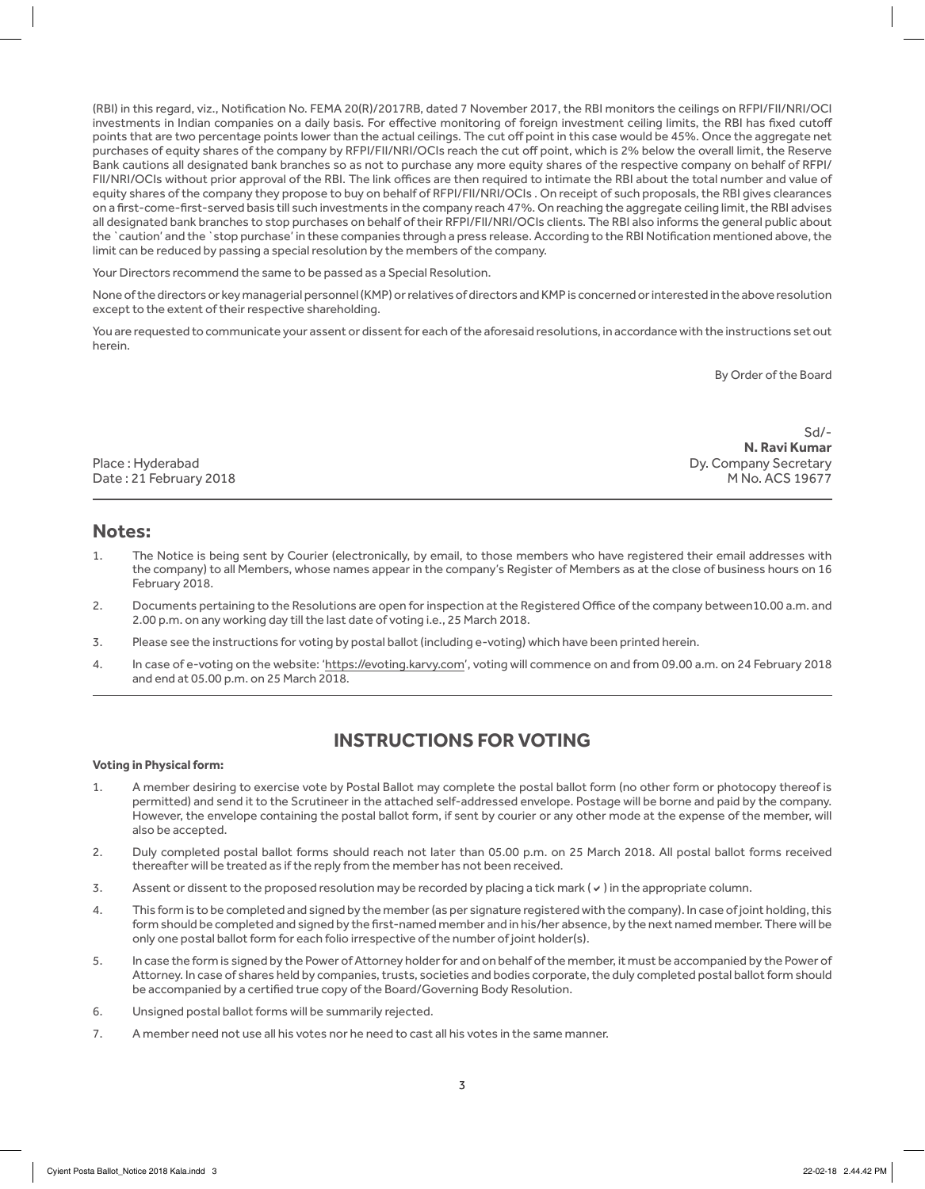(RBI) in this regard, viz., Notification No. FEMA 20(R)/2017RB, dated 7 November 2017, the RBI monitors the ceilings on RFPI/FII/NRI/OCI investments in Indian companies on a daily basis. For effective monitoring of foreign investment ceiling limits, the RBI has fixed cutoff points that are two percentage points lower than the actual ceilings. The cut off point in this case would be 45%. Once the aggregate net purchases of equity shares of the company by RFPI/FII/NRI/OCIs reach the cut off point, which is 2% below the overall limit, the Reserve Bank cautions all designated bank branches so as not to purchase any more equity shares of the respective company on behalf of RFPI/ FII/NRI/OCIs without prior approval of the RBI. The link offices are then required to intimate the RBI about the total number and value of equity shares of the company they propose to buy on behalf of RFPI/FII/NRI/OCIs . On receipt of such proposals, the RBI gives clearances on a first-come-first-served basis till such investments in the company reach 47%. On reaching the aggregate ceiling limit, the RBI advises all designated bank branches to stop purchases on behalf of their RFPI/FII/NRI/OCIs clients. The RBI also informs the general public about the `caution' and the `stop purchase' in these companies through a press release. According to the RBI Notification mentioned above, the limit can be reduced by passing a special resolution by the members of the company.

Your Directors recommend the same to be passed as a Special Resolution.

None of the directors or key managerial personnel (KMP) or relatives of directors and KMP is concerned or interested in the above resolution except to the extent of their respective shareholding.

You are requested to communicate your assent or dissent for each of the aforesaid resolutions, in accordance with the instructions set out herein.

By Order of the Board

Date: 21 February 2018

Sd/- **N. Ravi Kumar** Place : Hyderabad Dy. Company Secretary

### **Notes:**

- 1. The Notice is being sent by Courier (electronically, by email, to those members who have registered their email addresses with the company) to all Members, whose names appear in the company's Register of Members as at the close of business hours on 16 February 2018.
- 2. Documents pertaining to the Resolutions are open for inspection at the Registered Office of the company between10.00 a.m. and 2.00 p.m. on any working day till the last date of voting i.e., 25 March 2018.
- 3. Please see the instructions for voting by postal ballot (including e-voting) which have been printed herein.
- 4. In case of e-voting on the website: 'https://evoting.karvy.com', voting will commence on and from 09.00 a.m. on 24 February 2018 and end at 05.00 p.m. on 25 March 2018.

## **INSTRUCTIONS FOR VOTING**

#### **Voting in Physical form:**

- 1. A member desiring to exercise vote by Postal Ballot may complete the postal ballot form (no other form or photocopy thereof is permitted) and send it to the Scrutineer in the attached self-addressed envelope. Postage will be borne and paid by the company. However, the envelope containing the postal ballot form, if sent by courier or any other mode at the expense of the member, will also be accepted.
- 2. Duly completed postal ballot forms should reach not later than 05.00 p.m. on 25 March 2018. All postal ballot forms received thereafter will be treated as if the reply from the member has not been received.
- 3. Assent or dissent to the proposed resolution may be recorded by placing a tick mark  $(v)$  in the appropriate column.
- 4. This form is to be completed and signed by the member (as per signature registered with the company). In case of joint holding, this form should be completed and signed by the first-named member and in his/her absence, by the next named member. There will be only one postal ballot form for each folio irrespective of the number of joint holder(s).
- 5. In case the form is signed by the Power of Attorney holder for and on behalf of the member, it must be accompanied by the Power of Attorney. In case of shares held by companies, trusts, societies and bodies corporate, the duly completed postal ballot form should be accompanied by a certified true copy of the Board/Governing Body Resolution.
- 6. Unsigned postal ballot forms will be summarily rejected.
- 7. A member need not use all his votes nor he need to cast all his votes in the same manner.